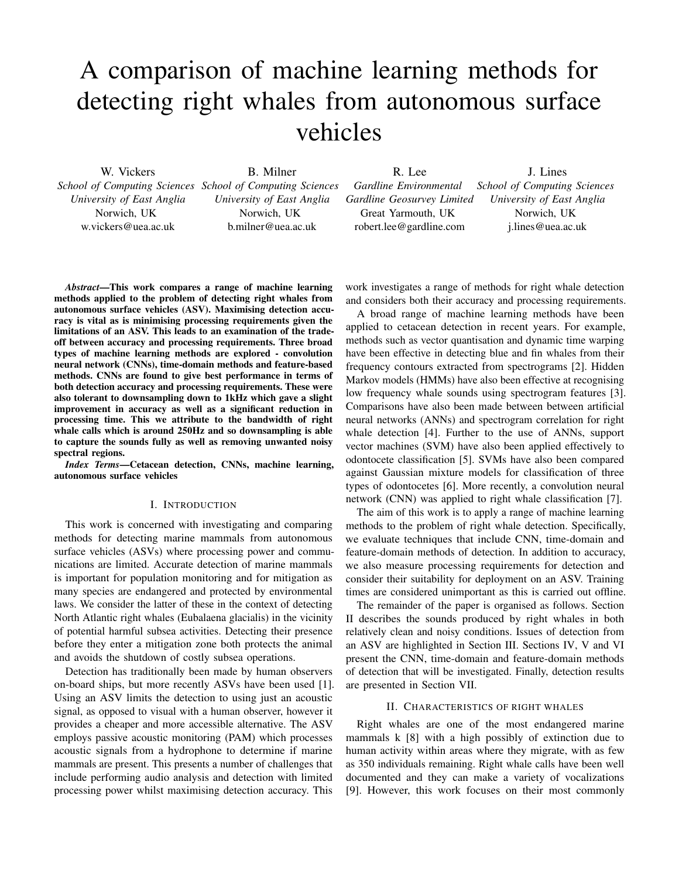# A comparison of machine learning methods for detecting right whales from autonomous surface vehicles

W. Vickers *School of Computing Sciences School of Computing Sciences University of East Anglia* Norwich, UK w.vickers@uea.ac.uk

B. Milner *University of East Anglia* Norwich, UK b.milner@uea.ac.uk

R. Lee

J. Lines

*Gardline Environmental Gardline Geosurvey Limited* Great Yarmouth, UK robert.lee@gardline.com *School of Computing Sciences University of East Anglia* Norwich, UK j.lines@uea.ac.uk

*Abstract*—This work compares a range of machine learning methods applied to the problem of detecting right whales from autonomous surface vehicles (ASV). Maximising detection accuracy is vital as is minimising processing requirements given the limitations of an ASV. This leads to an examination of the tradeoff between accuracy and processing requirements. Three broad types of machine learning methods are explored - convolution neural network (CNNs), time-domain methods and feature-based methods. CNNs are found to give best performance in terms of both detection accuracy and processing requirements. These were also tolerant to downsampling down to 1kHz which gave a slight improvement in accuracy as well as a significant reduction in processing time. This we attribute to the bandwidth of right whale calls which is around 250Hz and so downsampling is able to capture the sounds fully as well as removing unwanted noisy spectral regions.

*Index Terms*—Cetacean detection, CNNs, machine learning, autonomous surface vehicles

## I. INTRODUCTION

This work is concerned with investigating and comparing methods for detecting marine mammals from autonomous surface vehicles (ASVs) where processing power and communications are limited. Accurate detection of marine mammals is important for population monitoring and for mitigation as many species are endangered and protected by environmental laws. We consider the latter of these in the context of detecting North Atlantic right whales (Eubalaena glacialis) in the vicinity of potential harmful subsea activities. Detecting their presence before they enter a mitigation zone both protects the animal and avoids the shutdown of costly subsea operations.

Detection has traditionally been made by human observers on-board ships, but more recently ASVs have been used [1]. Using an ASV limits the detection to using just an acoustic signal, as opposed to visual with a human observer, however it provides a cheaper and more accessible alternative. The ASV employs passive acoustic monitoring (PAM) which processes acoustic signals from a hydrophone to determine if marine mammals are present. This presents a number of challenges that include performing audio analysis and detection with limited processing power whilst maximising detection accuracy. This

work investigates a range of methods for right whale detection and considers both their accuracy and processing requirements.

A broad range of machine learning methods have been applied to cetacean detection in recent years. For example, methods such as vector quantisation and dynamic time warping have been effective in detecting blue and fin whales from their frequency contours extracted from spectrograms [2]. Hidden Markov models (HMMs) have also been effective at recognising low frequency whale sounds using spectrogram features [3]. Comparisons have also been made between between artificial neural networks (ANNs) and spectrogram correlation for right whale detection [4]. Further to the use of ANNs, support vector machines (SVM) have also been applied effectively to odontocete classification [5]. SVMs have also been compared against Gaussian mixture models for classification of three types of odontocetes [6]. More recently, a convolution neural network (CNN) was applied to right whale classification [7].

The aim of this work is to apply a range of machine learning methods to the problem of right whale detection. Specifically, we evaluate techniques that include CNN, time-domain and feature-domain methods of detection. In addition to accuracy, we also measure processing requirements for detection and consider their suitability for deployment on an ASV. Training times are considered unimportant as this is carried out offline.

The remainder of the paper is organised as follows. Section II describes the sounds produced by right whales in both relatively clean and noisy conditions. Issues of detection from an ASV are highlighted in Section III. Sections IV, V and VI present the CNN, time-domain and feature-domain methods of detection that will be investigated. Finally, detection results are presented in Section VII.

# II. CHARACTERISTICS OF RIGHT WHALES

Right whales are one of the most endangered marine mammals k [8] with a high possibly of extinction due to human activity within areas where they migrate, with as few as 350 individuals remaining. Right whale calls have been well documented and they can make a variety of vocalizations [9]. However, this work focuses on their most commonly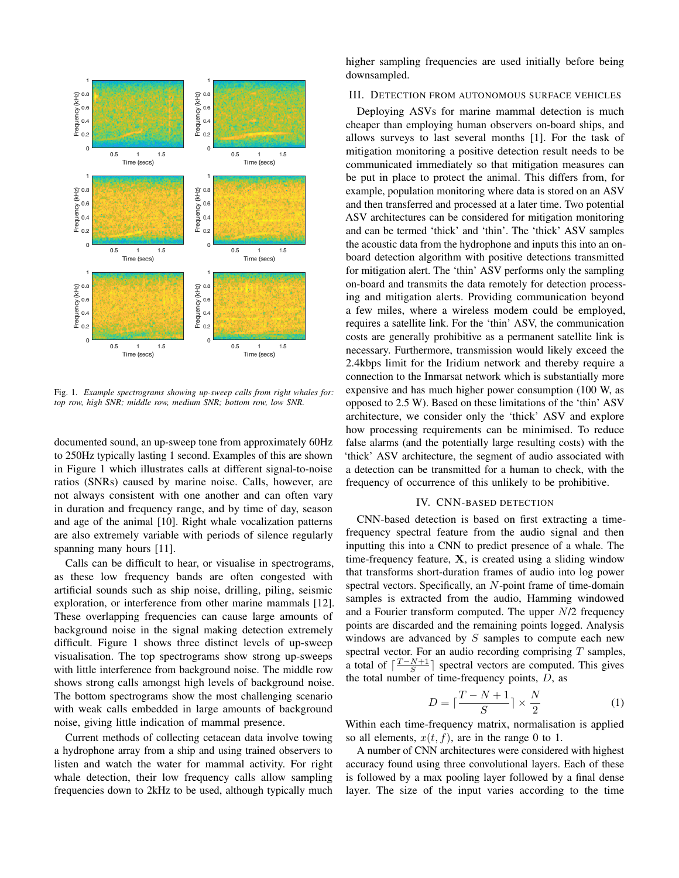

Fig. 1. *Example spectrograms showing up-sweep calls from right whales for: top row, high SNR; middle row, medium SNR; bottom row, low SNR.*

documented sound, an up-sweep tone from approximately 60Hz to 250Hz typically lasting 1 second. Examples of this are shown in Figure 1 which illustrates calls at different signal-to-noise ratios (SNRs) caused by marine noise. Calls, however, are not always consistent with one another and can often vary in duration and frequency range, and by time of day, season and age of the animal [10]. Right whale vocalization patterns are also extremely variable with periods of silence regularly spanning many hours [11].

Calls can be difficult to hear, or visualise in spectrograms, as these low frequency bands are often congested with artificial sounds such as ship noise, drilling, piling, seismic exploration, or interference from other marine mammals [12]. These overlapping frequencies can cause large amounts of background noise in the signal making detection extremely difficult. Figure 1 shows three distinct levels of up-sweep visualisation. The top spectrograms show strong up-sweeps with little interference from background noise. The middle row shows strong calls amongst high levels of background noise. The bottom spectrograms show the most challenging scenario with weak calls embedded in large amounts of background noise, giving little indication of mammal presence.

Current methods of collecting cetacean data involve towing a hydrophone array from a ship and using trained observers to listen and watch the water for mammal activity. For right whale detection, their low frequency calls allow sampling frequencies down to 2kHz to be used, although typically much higher sampling frequencies are used initially before being downsampled.

# III. DETECTION FROM AUTONOMOUS SURFACE VEHICLES

Deploying ASVs for marine mammal detection is much cheaper than employing human observers on-board ships, and allows surveys to last several months [1]. For the task of mitigation monitoring a positive detection result needs to be communicated immediately so that mitigation measures can be put in place to protect the animal. This differs from, for example, population monitoring where data is stored on an ASV and then transferred and processed at a later time. Two potential ASV architectures can be considered for mitigation monitoring and can be termed 'thick' and 'thin'. The 'thick' ASV samples the acoustic data from the hydrophone and inputs this into an onboard detection algorithm with positive detections transmitted for mitigation alert. The 'thin' ASV performs only the sampling on-board and transmits the data remotely for detection processing and mitigation alerts. Providing communication beyond a few miles, where a wireless modem could be employed, requires a satellite link. For the 'thin' ASV, the communication costs are generally prohibitive as a permanent satellite link is necessary. Furthermore, transmission would likely exceed the 2.4kbps limit for the Iridium network and thereby require a connection to the Inmarsat network which is substantially more expensive and has much higher power consumption (100 W, as opposed to 2.5 W). Based on these limitations of the 'thin' ASV architecture, we consider only the 'thick' ASV and explore how processing requirements can be minimised. To reduce false alarms (and the potentially large resulting costs) with the 'thick' ASV architecture, the segment of audio associated with a detection can be transmitted for a human to check, with the frequency of occurrence of this unlikely to be prohibitive.

## IV. CNN-BASED DETECTION

CNN-based detection is based on first extracting a timefrequency spectral feature from the audio signal and then inputting this into a CNN to predict presence of a whale. The time-frequency feature, X, is created using a sliding window that transforms short-duration frames of audio into log power spectral vectors. Specifically, an  $N$ -point frame of time-domain samples is extracted from the audio, Hamming windowed and a Fourier transform computed. The upper N/2 frequency points are discarded and the remaining points logged. Analysis windows are advanced by  $S$  samples to compute each new spectral vector. For an audio recording comprising  $T$  samples, a total of  $\lceil \frac{T - N + 1}{S} \rceil$  spectral vectors are computed. This gives the total number of time-frequency points,  $D$ , as

$$
D = \lceil \frac{T - N + 1}{S} \rceil \times \frac{N}{2} \tag{1}
$$

Within each time-frequency matrix, normalisation is applied so all elements,  $x(t, f)$ , are in the range 0 to 1.

A number of CNN architectures were considered with highest accuracy found using three convolutional layers. Each of these is followed by a max pooling layer followed by a final dense layer. The size of the input varies according to the time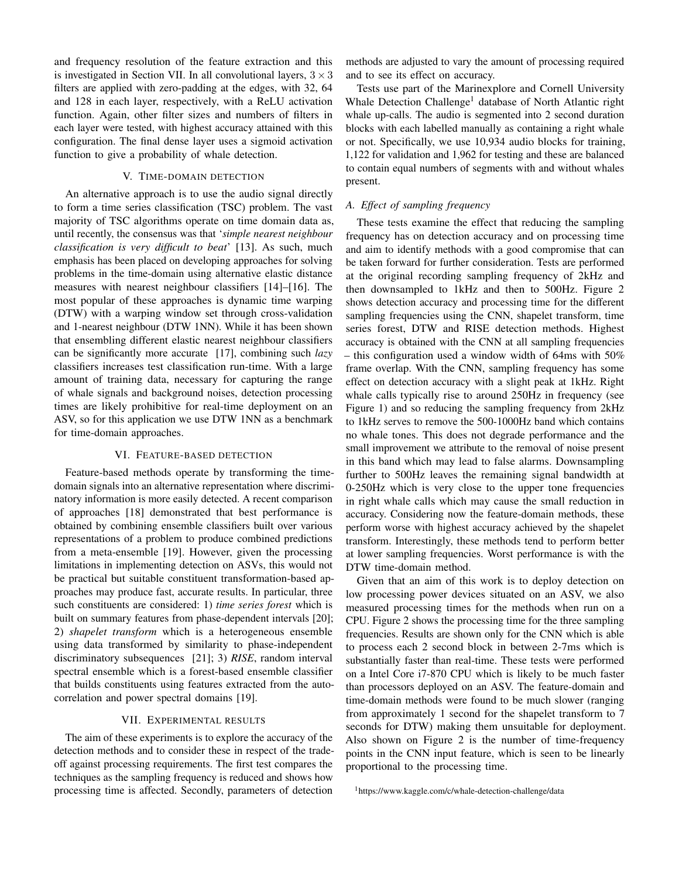and frequency resolution of the feature extraction and this is investigated in Section VII. In all convolutional layers,  $3 \times 3$ filters are applied with zero-padding at the edges, with 32, 64 and 128 in each layer, respectively, with a ReLU activation function. Again, other filter sizes and numbers of filters in each layer were tested, with highest accuracy attained with this configuration. The final dense layer uses a sigmoid activation function to give a probability of whale detection.

# V. TIME-DOMAIN DETECTION

An alternative approach is to use the audio signal directly to form a time series classification (TSC) problem. The vast majority of TSC algorithms operate on time domain data as, until recently, the consensus was that '*simple nearest neighbour classification is very difficult to beat*' [13]. As such, much emphasis has been placed on developing approaches for solving problems in the time-domain using alternative elastic distance measures with nearest neighbour classifiers [14]–[16]. The most popular of these approaches is dynamic time warping (DTW) with a warping window set through cross-validation and 1-nearest neighbour (DTW 1NN). While it has been shown that ensembling different elastic nearest neighbour classifiers can be significantly more accurate [17], combining such *lazy* classifiers increases test classification run-time. With a large amount of training data, necessary for capturing the range of whale signals and background noises, detection processing times are likely prohibitive for real-time deployment on an ASV, so for this application we use DTW 1NN as a benchmark for time-domain approaches.

# VI. FEATURE-BASED DETECTION

Feature-based methods operate by transforming the timedomain signals into an alternative representation where discriminatory information is more easily detected. A recent comparison of approaches [18] demonstrated that best performance is obtained by combining ensemble classifiers built over various representations of a problem to produce combined predictions from a meta-ensemble [19]. However, given the processing limitations in implementing detection on ASVs, this would not be practical but suitable constituent transformation-based approaches may produce fast, accurate results. In particular, three such constituents are considered: 1) *time series forest* which is built on summary features from phase-dependent intervals [20]; 2) *shapelet transform* which is a heterogeneous ensemble using data transformed by similarity to phase-independent discriminatory subsequences [21]; 3) *RISE*, random interval spectral ensemble which is a forest-based ensemble classifier that builds constituents using features extracted from the autocorrelation and power spectral domains [19].

# VII. EXPERIMENTAL RESULTS

The aim of these experiments is to explore the accuracy of the detection methods and to consider these in respect of the tradeoff against processing requirements. The first test compares the techniques as the sampling frequency is reduced and shows how processing time is affected. Secondly, parameters of detection

methods are adjusted to vary the amount of processing required and to see its effect on accuracy.

Tests use part of the Marinexplore and Cornell University Whale Detection Challenge<sup>1</sup> database of North Atlantic right whale up-calls. The audio is segmented into 2 second duration blocks with each labelled manually as containing a right whale or not. Specifically, we use 10,934 audio blocks for training, 1,122 for validation and 1,962 for testing and these are balanced to contain equal numbers of segments with and without whales present.

# *A. Effect of sampling frequency*

These tests examine the effect that reducing the sampling frequency has on detection accuracy and on processing time and aim to identify methods with a good compromise that can be taken forward for further consideration. Tests are performed at the original recording sampling frequency of 2kHz and then downsampled to 1kHz and then to 500Hz. Figure 2 shows detection accuracy and processing time for the different sampling frequencies using the CNN, shapelet transform, time series forest, DTW and RISE detection methods. Highest accuracy is obtained with the CNN at all sampling frequencies – this configuration used a window width of 64ms with 50% frame overlap. With the CNN, sampling frequency has some effect on detection accuracy with a slight peak at 1kHz. Right whale calls typically rise to around 250Hz in frequency (see Figure 1) and so reducing the sampling frequency from 2kHz to 1kHz serves to remove the 500-1000Hz band which contains no whale tones. This does not degrade performance and the small improvement we attribute to the removal of noise present in this band which may lead to false alarms. Downsampling further to 500Hz leaves the remaining signal bandwidth at 0-250Hz which is very close to the upper tone frequencies in right whale calls which may cause the small reduction in accuracy. Considering now the feature-domain methods, these perform worse with highest accuracy achieved by the shapelet transform. Interestingly, these methods tend to perform better at lower sampling frequencies. Worst performance is with the DTW time-domain method.

Given that an aim of this work is to deploy detection on low processing power devices situated on an ASV, we also measured processing times for the methods when run on a CPU. Figure 2 shows the processing time for the three sampling frequencies. Results are shown only for the CNN which is able to process each 2 second block in between 2-7ms which is substantially faster than real-time. These tests were performed on a Intel Core i7-870 CPU which is likely to be much faster than processors deployed on an ASV. The feature-domain and time-domain methods were found to be much slower (ranging from approximately 1 second for the shapelet transform to 7 seconds for DTW) making them unsuitable for deployment. Also shown on Figure 2 is the number of time-frequency points in the CNN input feature, which is seen to be linearly proportional to the processing time.

<sup>1</sup>https://www.kaggle.com/c/whale-detection-challenge/data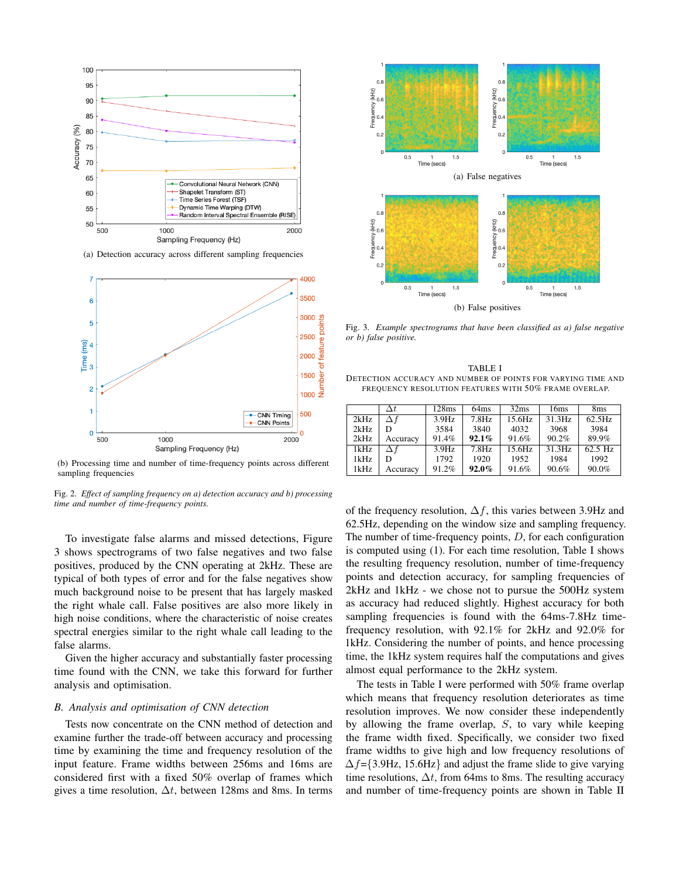

(a) Detection accuracy across different sampling frequencies



(b) Processing time and number of time-frequency points across different sampling frequencies

Fig. 2. *Effect of sampling frequency on a) detection accuracy and b) processing time and number of time-frequency points.*

To investigate false alarms and missed detections, Figure 3 shows spectrograms of two false negatives and two false positives, produced by the CNN operating at 2kHz. These are typical of both types of error and for the false negatives show much background noise to be present that has largely masked the right whale call. False positives are also more likely in high noise conditions, where the characteristic of noise creates spectral energies similar to the right whale call leading to the false alarms.

Given the higher accuracy and substantially faster processing time found with the CNN, we take this forward for further analysis and optimisation.

## *B. Analysis and optimisation of CNN detection*

Tests now concentrate on the CNN method of detection and examine further the trade-off between accuracy and processing time by examining the time and frequency resolution of the input feature. Frame widths between 256ms and 16ms are considered first with a fixed 50% overlap of frames which gives a time resolution,  $\Delta t$ , between 128ms and 8ms. In terms



Fig. 3. *Example spectrograms that have been classified as a) false negative or b) false positive.*

TABLE I DETECTION ACCURACY AND NUMBER OF POINTS FOR VARYING TIME AND FREQUENCY RESOLUTION FEATURES WITH 50% FRAME OVERLAP.

|      | $\Delta t$ | 128ms | 64ms              | 32ms   | 16ms   | 8 <sub>ms</sub> |
|------|------------|-------|-------------------|--------|--------|-----------------|
| 2kHz | Δf         | 3.9Hz | 7.8Hz             | 15.6Hz | 31.3Hz | 62.5Hz          |
| 2kHz | D          | 3584  | 3840              | 4032   | 3968   | 3984            |
| 2kHz | Accuracy   | 91.4% | $92.1\%$          | 91.6%  | 90.2%  | 89.9%           |
| 1kHz | $\Delta f$ | 3.9Hz | 7.8H <sub>Z</sub> | 15.6Hz | 31.3Hz | $62.5$ Hz       |
| 1kHz |            | 1792  | 1920              | 1952   | 1984   | 1992            |
| 1kHz | Accuracy   | 91.2% | 92.0%             | 91.6%  | 90.6%  | 90.0%           |

of the frequency resolution,  $\Delta f$ , this varies between 3.9Hz and 62.5Hz, depending on the window size and sampling frequency. The number of time-frequency points,  $D$ , for each configuration is computed using (1). For each time resolution, Table I shows the resulting frequency resolution, number of time-frequency points and detection accuracy, for sampling frequencies of 2kHz and 1kHz - we chose not to pursue the 500Hz system as accuracy had reduced slightly. Highest accuracy for both sampling frequencies is found with the 64ms-7.8Hz timefrequency resolution, with 92.1% for 2kHz and 92.0% for 1kHz. Considering the number of points, and hence processing time, the 1kHz system requires half the computations and gives almost equal performance to the 2kHz system.

The tests in Table I were performed with 50% frame overlap which means that frequency resolution deteriorates as time resolution improves. We now consider these independently by allowing the frame overlap, S, to vary while keeping the frame width fixed. Specifically, we consider two fixed frame widths to give high and low frequency resolutions of  $\Delta f$ ={3.9Hz, 15.6Hz} and adjust the frame slide to give varying time resolutions,  $\Delta t$ , from 64ms to 8ms. The resulting accuracy and number of time-frequency points are shown in Table II